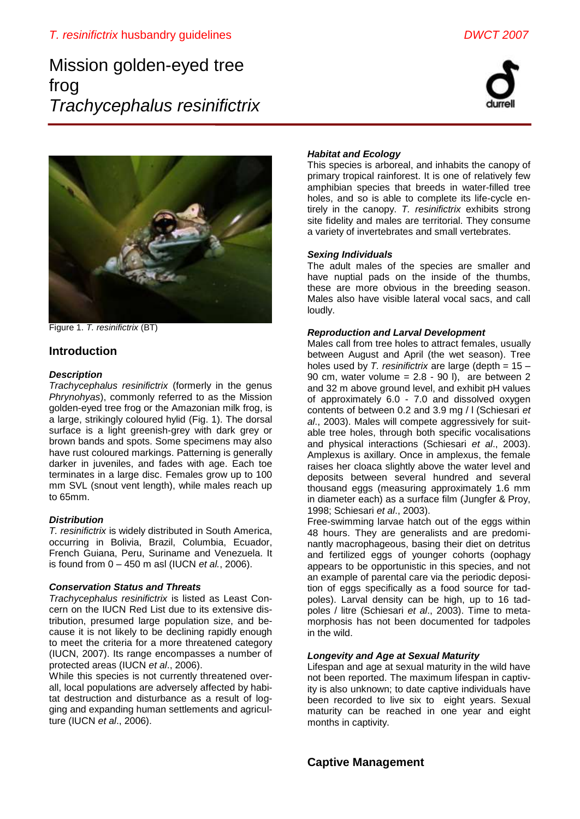# Mission golden-eyed tree frog *Trachycephalus resinifictrix*





Figure 1. *T. resinifictrix* (BT)

# **Introduction**

#### *Description*

*Trachycephalus resinifictrix* (formerly in the genus *Phrynohyas*), commonly referred to as the Mission golden-eyed tree frog or the Amazonian milk frog, is a large, strikingly coloured hylid (Fig. 1). The dorsal surface is a light greenish-grey with dark grey or brown bands and spots. Some specimens may also have rust coloured markings. Patterning is generally darker in juveniles, and fades with age. Each toe terminates in a large disc. Females grow up to 100 mm SVL (snout vent length), while males reach up to 65mm.

## *Distribution*

*T. resinifictrix* is widely distributed in South America, occurring in Bolivia, Brazil, Columbia, Ecuador, French Guiana, Peru, Suriname and Venezuela. It is found from 0 – 450 m asl (IUCN *et al.*, 2006).

## *Conservation Status and Threats*

*Trachycephalus resinifictrix* is listed as Least Concern on the IUCN Red List due to its extensive distribution, presumed large population size, and because it is not likely to be declining rapidly enough to meet the criteria for a more threatened category (IUCN, 2007). Its range encompasses a number of protected areas (IUCN *et al*., 2006).

While this species is not currently threatened overall, local populations are adversely affected by habitat destruction and disturbance as a result of logging and expanding human settlements and agriculture (IUCN *et al*., 2006).

## *Habitat and Ecology*

This species is arboreal, and inhabits the canopy of primary tropical rainforest. It is one of relatively few amphibian species that breeds in water-filled tree holes, and so is able to complete its life-cycle entirely in the canopy. *T. resinifictrix* exhibits strong site fidelity and males are territorial. They consume a variety of invertebrates and small vertebrates.

#### *Sexing Individuals*

The adult males of the species are smaller and have nuptial pads on the inside of the thumbs, these are more obvious in the breeding season. Males also have visible lateral vocal sacs, and call loudly.

#### *Reproduction and Larval Development*

Males call from tree holes to attract females, usually between August and April (the wet season). Tree holes used by *T. resinifictrix* are large (depth = 15 – 90 cm, water volume =  $2.8 - 90$  l), are between 2 and 32 m above ground level, and exhibit pH values of approximately 6.0 - 7.0 and dissolved oxygen contents of between 0.2 and 3.9 mg / l (Schiesari *et al*., 2003). Males will compete aggressively for suitable tree holes, through both specific vocalisations and physical interactions (Schiesari *et al*., 2003). Amplexus is axillary. Once in amplexus, the female raises her cloaca slightly above the water level and deposits between several hundred and several thousand eggs (measuring approximately 1.6 mm in diameter each) as a surface film (Jungfer & Proy, 1998; Schiesari *et al*., 2003).

Free-swimming larvae hatch out of the eggs within 48 hours. They are generalists and are predominantly macrophageous, basing their diet on detritus and fertilized eggs of younger cohorts (oophagy appears to be opportunistic in this species, and not an example of parental care via the periodic deposition of eggs specifically as a food source for tadpoles). Larval density can be high, up to 16 tadpoles / litre (Schiesari *et al*., 2003). Time to metamorphosis has not been documented for tadpoles in the wild.

## *Longevity and Age at Sexual Maturity*

Lifespan and age at sexual maturity in the wild have not been reported. The maximum lifespan in captivity is also unknown; to date captive individuals have been recorded to live six to eight years. Sexual maturity can be reached in one year and eight months in captivity.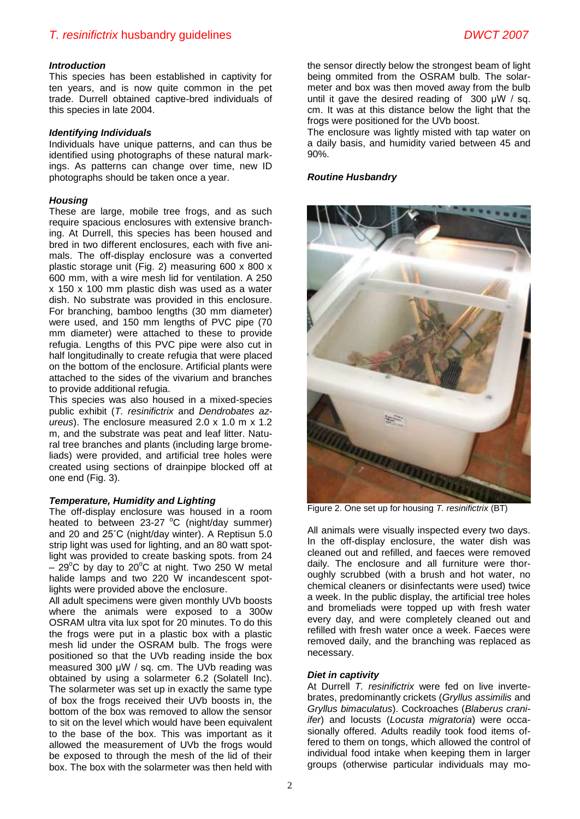#### *Introduction*

This species has been established in captivity for ten years, and is now quite common in the pet trade. Durrell obtained captive-bred individuals of this species in late 2004.

#### *Identifying Individuals*

Individuals have unique patterns, and can thus be identified using photographs of these natural markings. As patterns can change over time, new ID photographs should be taken once a year.

#### *Housing*

These are large, mobile tree frogs, and as such require spacious enclosures with extensive branching. At Durrell, this species has been housed and bred in two different enclosures, each with five animals. The off-display enclosure was a converted plastic storage unit (Fig. 2) measuring 600 x 800 x 600 mm, with a wire mesh lid for ventilation. A 250 x 150 x 100 mm plastic dish was used as a water dish. No substrate was provided in this enclosure. For branching, bamboo lengths (30 mm diameter) were used, and 150 mm lengths of PVC pipe (70 mm diameter) were attached to these to provide refugia. Lengths of this PVC pipe were also cut in half longitudinally to create refugia that were placed on the bottom of the enclosure. Artificial plants were attached to the sides of the vivarium and branches to provide additional refugia.

This species was also housed in a mixed-species public exhibit (*T. resinifictrix* and *Dendrobates azureus*). The enclosure measured 2.0 x 1.0 m x 1.2 m, and the substrate was peat and leaf litter. Natural tree branches and plants (including large bromeliads) were provided, and artificial tree holes were created using sections of drainpipe blocked off at one end (Fig. 3).

#### *Temperature, Humidity and Lighting*

The off-display enclosure was housed in a room heated to between  $23-27$  °C (night/day summer) and 20 and 25˚C (night/day winter). A Reptisun 5.0 strip light was used for lighting, and an 80 watt spotlight was provided to create basking spots. from 24  $-$  29<sup>o</sup>C by day to 20<sup>o</sup>C at night. Two 250 W metal halide lamps and two 220 W incandescent spotlights were provided above the enclosure.

All adult specimens were given monthly UVb boosts where the animals were exposed to a 300w OSRAM ultra vita lux spot for 20 minutes. To do this the frogs were put in a plastic box with a plastic mesh lid under the OSRAM bulb. The frogs were positioned so that the UVb reading inside the box measured 300 μW / sq. cm. The UVb reading was obtained by using a solarmeter 6.2 (Solatell Inc). The solarmeter was set up in exactly the same type of box the frogs received their UVb boosts in, the bottom of the box was removed to allow the sensor to sit on the level which would have been equivalent to the base of the box. This was important as it allowed the measurement of UVb the frogs would be exposed to through the mesh of the lid of their box. The box with the solarmeter was then held with the sensor directly below the strongest beam of light being ommited from the OSRAM bulb. The solarmeter and box was then moved away from the bulb until it gave the desired reading of 300 μW / sq. cm. It was at this distance below the light that the frogs were positioned for the UVb boost.

The enclosure was lightly misted with tap water on a daily basis, and humidity varied between 45 and 90%.

#### *Routine Husbandry*



Figure 2. One set up for housing *T. resinifictrix* (BT)

All animals were visually inspected every two days. In the off-display enclosure, the water dish was cleaned out and refilled, and faeces were removed daily. The enclosure and all furniture were thoroughly scrubbed (with a brush and hot water, no chemical cleaners or disinfectants were used) twice a week. In the public display, the artificial tree holes and bromeliads were topped up with fresh water every day, and were completely cleaned out and refilled with fresh water once a week. Faeces were removed daily, and the branching was replaced as necessary.

#### *Diet in captivity*

At Durrell *T. resinifictrix* were fed on live invertebrates, predominantly crickets (*Gryllus assimilis* and *Gryllus bimaculatus*). Cockroaches (*Blaberus craniifer*) and locusts (*Locusta migratoria*) were occasionally offered. Adults readily took food items offered to them on tongs, which allowed the control of individual food intake when keeping them in larger groups (otherwise particular individuals may mo-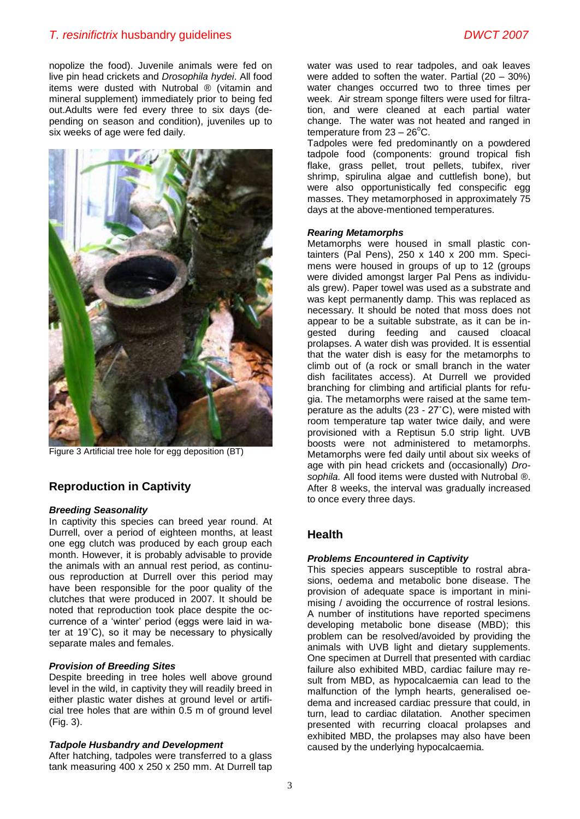# *T. resinifictrix* husbandry guidelines *DWCT 2007*

nopolize the food). Juvenile animals were fed on live pin head crickets and *Drosophila hydei*. All food items were dusted with Nutrobal ® (vitamin and mineral supplement) immediately prior to being fed out.Adults were fed every three to six days (depending on season and condition), juveniles up to six weeks of age were fed daily.



Figure 3 Artificial tree hole for egg deposition (BT)

# **Reproduction in Captivity**

#### *Breeding Seasonality*

In captivity this species can breed year round. At Durrell, over a period of eighteen months, at least one egg clutch was produced by each group each month. However, it is probably advisable to provide the animals with an annual rest period, as continuous reproduction at Durrell over this period may have been responsible for the poor quality of the clutches that were produced in 2007. It should be noted that reproduction took place despite the occurrence of a 'winter' period (eggs were laid in water at 19˚C), so it may be necessary to physically separate males and females.

#### *Provision of Breeding Sites*

Despite breeding in tree holes well above ground level in the wild, in captivity they will readily breed in either plastic water dishes at ground level or artificial tree holes that are within 0.5 m of ground level (Fig. 3).

#### *Tadpole Husbandry and Development*

After hatching, tadpoles were transferred to a glass tank measuring 400 x 250 x 250 mm. At Durrell tap water was used to rear tadpoles, and oak leaves were added to soften the water. Partial (20 – 30%) water changes occurred two to three times per week. Air stream sponge filters were used for filtration, and were cleaned at each partial water change. The water was not heated and ranged in temperature from  $23 - 26^{\circ}$ C.

Tadpoles were fed predominantly on a powdered tadpole food (components: ground tropical fish flake, grass pellet, trout pellets, tubifex, river shrimp, spirulina algae and cuttlefish bone), but were also opportunistically fed conspecific egg masses. They metamorphosed in approximately 75 days at the above-mentioned temperatures.

#### *Rearing Metamorphs*

Metamorphs were housed in small plastic containters (Pal Pens), 250 x 140 x 200 mm. Specimens were housed in groups of up to 12 (groups were divided amongst larger Pal Pens as individuals grew). Paper towel was used as a substrate and was kept permanently damp. This was replaced as necessary. It should be noted that moss does not appear to be a suitable substrate, as it can be ingested during feeding and caused cloacal prolapses. A water dish was provided. It is essential that the water dish is easy for the metamorphs to climb out of (a rock or small branch in the water dish facilitates access). At Durrell we provided branching for climbing and artificial plants for refugia. The metamorphs were raised at the same temperature as the adults (23 - 27˚C), were misted with room temperature tap water twice daily, and were provisioned with a Reptisun 5.0 strip light. UVB boosts were not administered to metamorphs. Metamorphs were fed daily until about six weeks of age with pin head crickets and (occasionally) *Drosophila.* All food items were dusted with Nutrobal ®. After 8 weeks, the interval was gradually increased to once every three days.

# **Health**

#### *Problems Encountered in Captivity*

This species appears susceptible to rostral abrasions, oedema and metabolic bone disease. The provision of adequate space is important in minimising / avoiding the occurrence of rostral lesions. A number of institutions have reported specimens developing metabolic bone disease (MBD); this problem can be resolved/avoided by providing the animals with UVB light and dietary supplements. One specimen at Durrell that presented with cardiac failure also exhibited MBD, cardiac failure may result from MBD, as hypocalcaemia can lead to the malfunction of the lymph hearts, generalised oedema and increased cardiac pressure that could, in turn, lead to cardiac dilatation. Another specimen presented with recurring cloacal prolapses and exhibited MBD, the prolapses may also have been caused by the underlying hypocalcaemia.